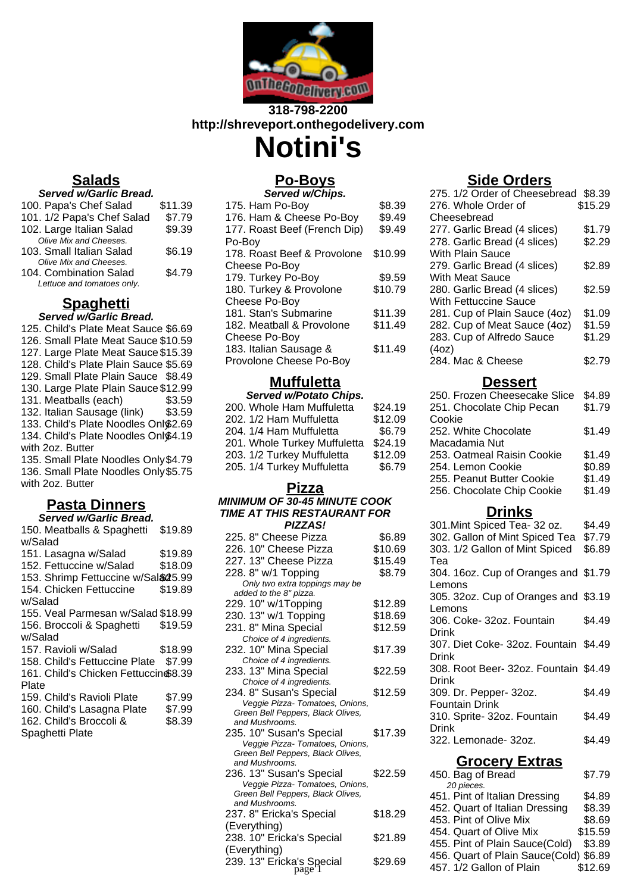

## **318-798-2200 http://shreveport.onthegodelivery.com**

**Notini's**

**Po-Boys**

## **Salads**

| <b>Served w/Garlic Bread.</b> |         |
|-------------------------------|---------|
| 100. Papa's Chef Salad        | \$11.39 |
| 101. 1/2 Papa's Chef Salad    | \$7.79  |
| 102. Large Italian Salad      | \$9.39  |
| Olive Mix and Cheeses.        |         |
| 103. Small Italian Salad      | \$6.19  |
| Olive Mix and Cheeses.        |         |
| 104. Combination Salad        | \$4.79  |

## **Spaghetti**

#### **Served w/Garlic Bread.**

Lettuce and tomatoes only.

125. Child's Plate Meat Sauce \$6.69 126. Small Plate Meat Sauce \$10.59 127. Large Plate Meat Sauce \$15.39 128. Child's Plate Plain Sauce \$5.69 129. Small Plate Plain Sauce \$8.49 130. Large Plate Plain Sauce \$12.99 131. Meatballs (each) \$3.59 132. Italian Sausage (link) \$3.59 133. Child's Plate Noodles Onl\$2.69 134. Child's Plate Noodles Onl\$4.19 with 2oz. Butter 135. Small Plate Noodles Only\$4.79 136. Small Plate Noodles Only \$5.75 with 2oz. Butter

## **Pasta Dinners**

| Served w/Garlic Bread.                |         |  |
|---------------------------------------|---------|--|
| 150. Meatballs & Spaghetti            | \$19.89 |  |
| w/Salad                               |         |  |
| 151. Lasagna w/Salad                  | \$19.89 |  |
| 152. Fettuccine w/Salad               | \$18.09 |  |
| 153. Shrimp Fettuccine w/Sal&25.99    |         |  |
| 154. Chicken Fettuccine               | \$19.89 |  |
| w/Salad                               |         |  |
| 155. Veal Parmesan w/Salad \$18.99    |         |  |
| 156. Broccoli & Spaghetti             | \$19.59 |  |
| w/Salad                               |         |  |
| 157. Ravioli w/Salad                  | \$18.99 |  |
| 158. Child's Fettuccine Plate \$7.99  |         |  |
| 161. Child's Chicken Fettuccin \$8.39 |         |  |
| Plate                                 |         |  |
| 159. Child's Ravioli Plate            | \$7.99  |  |
| 160. Child's Lasagna Plate            | \$7.99  |  |
| 162. Child's Broccoli &               | \$8.39  |  |
| Spaghetti Plate                       |         |  |

| \$8.39  |
|---------|
| \$9.49  |
| \$9.49  |
|         |
| \$10.99 |
|         |
| \$9.59  |
| \$10.79 |
|         |
| \$11.39 |
| \$11.49 |
|         |
| \$11.49 |
|         |
|         |

## **Muffuletta**

| <b>Served w/Potato Chips.</b> |         |
|-------------------------------|---------|
| 200. Whole Ham Muffuletta     | \$24.19 |
| 202. 1/2 Ham Muffuletta       | \$12.09 |
| 204. 1/4 Ham Muffuletta       | \$6.79  |
| 201. Whole Turkey Muffuletta  | \$24.19 |
| 203. 1/2 Turkey Muffuletta    | \$12.09 |
| 205. 1/4 Turkey Muffuletta    | \$6.79  |
|                               |         |

### **Pizza**

#### **MINIMUM OF 30-45 MINUTE COOK TIME AT THIS RESTAURANT FOR PIZZAS!**

| 225. 8" Cheese Pizza                                                 | \$6.89  |
|----------------------------------------------------------------------|---------|
| 226. 10" Cheese Pizza                                                | \$10.69 |
| 227. 13" Cheese Pizza                                                | \$15.49 |
| 228. 8" w/1 Topping                                                  | \$8.79  |
| Only two extra toppings may be                                       |         |
| added to the 8" pizza.                                               |         |
| 229. 10" w/1Topping                                                  | \$12.89 |
| 230. 13" w/1 Topping                                                 | \$18.69 |
| 231.8" Mina Special                                                  | \$12.59 |
| Choice of 4 ingredients.                                             |         |
| 232. 10" Mina Special                                                | \$17.39 |
| Choice of 4 ingredients.                                             |         |
| 233. 13" Mina Special                                                | \$22.59 |
| Choice of 4 ingredients.                                             |         |
| 234. 8" Susan's Special                                              | \$12.59 |
| Veggie Pizza- Tomatoes, Onions,                                      |         |
| Green Bell Peppers, Black Olives,<br>and Mushrooms.                  |         |
|                                                                      |         |
| 235. 10" Susan's Special                                             | \$17.39 |
| Veggie Pizza- Tomatoes, Onions,<br>Green Bell Peppers, Black Olives, |         |
| and Mushrooms.                                                       |         |
| 236. 13" Susan's Special                                             | \$22.59 |
| Veggie Pizza- Tomatoes, Onions,                                      |         |
| Green Bell Peppers, Black Olives,                                    |         |
| and Mushrooms.                                                       |         |
| 237. 8" Ericka's Special                                             | \$18.29 |
| (Everything)                                                         |         |
| 238. 10" Ericka's Special                                            | \$21.89 |
| (Everything)                                                         |         |

239. 13" Ericka's Special \$29.69

# **Dessert**

| 250. Frozen Cheesecake Slice | \$4.89 |
|------------------------------|--------|
| 251. Chocolate Chip Pecan    | \$1.79 |
| Cookie                       |        |
| 252. White Chocolate         | \$1.49 |
| Macadamia Nut                |        |
| 253. Oatmeal Raisin Cookie   | \$1.49 |
| 254. Lemon Cookie            | \$0.89 |
| 255. Peanut Butter Cookie    | \$1.49 |
| 256. Chocolate Chip Cookie   | \$1.49 |
|                              |        |

## **Drinks**

| 301. Mint Spiced Tea- 32 oz.                                                                               | \$4.49  |
|------------------------------------------------------------------------------------------------------------|---------|
| 302. Gallon of Mint Spiced Tea                                                                             | \$7.79  |
| 303. 1/2 Gallon of Mint Spiced                                                                             | \$6.89  |
| Tea                                                                                                        |         |
| 304. 16oz. Cup of Oranges and \$1.79                                                                       |         |
| Lemons                                                                                                     |         |
| 305. 32oz. Cup of Oranges and \$3.19                                                                       |         |
| Lemons                                                                                                     |         |
| 306. Coke- 32oz. Fountain                                                                                  | \$4.49  |
| Drink                                                                                                      |         |
| 307. Diet Coke- 32oz. Fountain \$4.49                                                                      |         |
| Drink                                                                                                      |         |
| 308. Root Beer- 32oz. Fountain \$4.49                                                                      |         |
| Drink                                                                                                      |         |
| 309. Dr. Pepper- 32oz.                                                                                     | \$4.49  |
| <b>Fountain Drink</b>                                                                                      |         |
| 310. Sprite- 32oz. Fountain<br>Drink                                                                       | \$4.49  |
|                                                                                                            |         |
| 322. Lemonade- 32oz.                                                                                       | \$4.49  |
| <b>Grocery Extras</b>                                                                                      |         |
| 450. Bag of Bread                                                                                          | \$7.79  |
| 20 pieces.                                                                                                 |         |
| 451. Pint of Italian Dressing                                                                              | \$4.89  |
| 452. Quart of Italian Dressing                                                                             | \$8.39  |
| 453. Pint of Olive Mix                                                                                     | \$8.69  |
| 454. Quart of Olive Mix                                                                                    | \$15.59 |
| 455. Pint of Plain Sauce(Cold)<br>$150.0$ $\ldots$ $151.1$ $\ldots$ $15.1$ $\ldots$ $10.1$ $\ldots$ $10.0$ | \$3.89  |
|                                                                                                            |         |

456. Quart of Plain Sauce(Cold) \$6.89  $$29.69$   $$457. 1/2$  Gallon of Plain  $$12.69$ 

## **Side Orders**

| 275. 1/2 Order of Cheesebread | \$8.39  |
|-------------------------------|---------|
| 276. Whole Order of           | \$15.29 |
| Cheesebread                   |         |
| 277. Garlic Bread (4 slices)  | \$1.79  |
| 278. Garlic Bread (4 slices)  | \$2.29  |
| With Plain Sauce              |         |
| 279. Garlic Bread (4 slices)  | \$2.89  |
| With Meat Sauce               |         |
| 280. Garlic Bread (4 slices)  | \$2.59  |
| With Fettuccine Sauce         |         |
| 281. Cup of Plain Sauce (4oz) | \$1.09  |
| 282. Cup of Meat Sauce (4oz)  | \$1.59  |
| 283. Cup of Alfredo Sauce     | \$1.29  |
| (4oz)                         |         |
| 284. Mac & Cheese             | \$2.79  |
|                               |         |